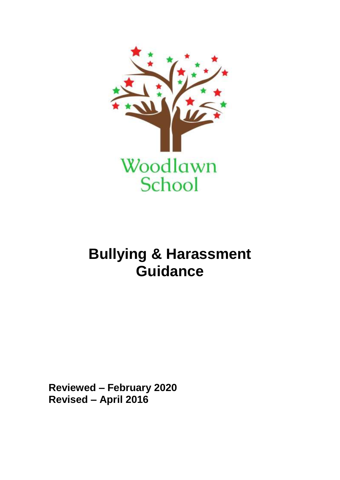

# **Bullying & Harassment Guidance**

**Reviewed – February 2020 Revised – April 2016**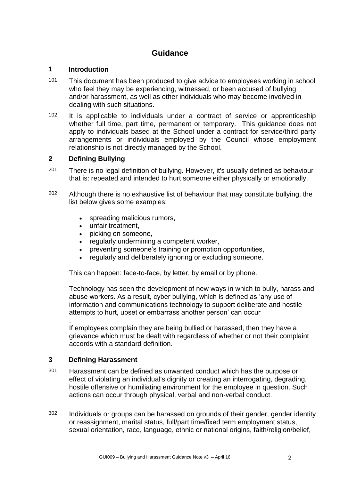# **Guidance**

#### **1 Introduction**

- 101 This document has been produced to give advice to employees working in school who feel they may be experiencing, witnessed, or been accused of bullying and/or harassment, as well as other individuals who may become involved in dealing with such situations.
- 102 It is applicable to individuals under a contract of service or apprenticeship whether full time, part time, permanent or temporary. This guidance does not apply to individuals based at the School under a contract for service/third party arrangements or individuals employed by the Council whose employment relationship is not directly managed by the School.

## **2 Defining Bullying**

- 201 There is no legal definition of bullying. However, it's usually defined as behaviour that is: repeated and intended to hurt someone either physically or emotionally.
- 202 Although there is no exhaustive list of behaviour that may constitute bullying, the list below gives some examples:
	- spreading malicious rumors,
	- unfair treatment,
	- picking on someone,
	- regularly undermining a competent worker,
	- preventing someone's training or promotion opportunities,
	- regularly and deliberately ignoring or excluding someone.

This can happen: face-to-face, by letter, by email or by phone.

Technology has seen the development of new ways in which to bully, harass and abuse workers. As a result, cyber bullying, which is defined as 'any use of information and communications technology to support deliberate and hostile attempts to hurt, upset or embarrass another person' can occur

. If employees complain they are being bullied or harassed, then they have a grievance which must be dealt with regardless of whether or not their complaint accords with a standard definition.

#### **3 Defining Harassment**

- 301 Harassment can be defined as unwanted conduct which has the purpose or effect of violating an individual's dignity or creating an interrogating, degrading, hostile offensive or humiliating environment for the employee in question. Such actions can occur through physical, verbal and non-verbal conduct.
- <sup>302</sup> Individuals or groups can be harassed on grounds of their gender, gender identity or reassignment, marital status, full/part time/fixed term employment status, sexual orientation, race, language, ethnic or national origins, faith/religion/belief,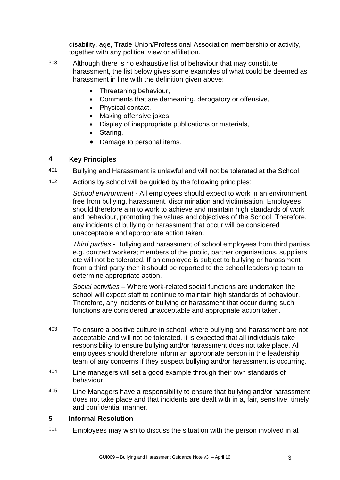disability, age, Trade Union/Professional Association membership or activity, together with any political view or affiliation.

- 303 Although there is no exhaustive list of behaviour that may constitute harassment, the list below gives some examples of what could be deemed as harassment in line with the definition given above:
	- Threatening behaviour,
	- Comments that are demeaning, derogatory or offensive,
	- Physical contact.
	- Making offensive jokes,
	- Display of inappropriate publications or materials,
	- Staring,
	- Damage to personal items.

## **4 Key Principles**

- 401 Bullying and Harassment is unlawful and will not be tolerated at the School.
- 402 Actions by school will be guided by the following principles:

*School environment* - All employees should expect to work in an environment free from bullying, harassment, discrimination and victimisation. Employees should therefore aim to work to achieve and maintain high standards of work and behaviour, promoting the values and objectives of the School. Therefore, any incidents of bullying or harassment that occur will be considered unacceptable and appropriate action taken.

*Third parties* - Bullying and harassment of school employees from third parties e.g. contract workers; members of the public, partner organisations, suppliers etc will not be tolerated. If an employee is subject to bullying or harassment from a third party then it should be reported to the school leadership team to determine appropriate action.

*Social activities* – Where work-related social functions are undertaken the school will expect staff to continue to maintain high standards of behaviour. Therefore, any incidents of bullying or harassment that occur during such functions are considered unacceptable and appropriate action taken.

- 403 To ensure a positive culture in school, where bullying and harassment are not acceptable and will not be tolerated, it is expected that all individuals take responsibility to ensure bullying and/or harassment does not take place. All employees should therefore inform an appropriate person in the leadership team of any concerns if they suspect bullying and/or harassment is occurring.
- 404 Line managers will set a good example through their own standards of behaviour.
- 405 Line Managers have a responsibility to ensure that bullying and/or harassment does not take place and that incidents are dealt with in a, fair, sensitive, timely and confidential manner.

#### **5 Informal Resolution**

501 Employees may wish to discuss the situation with the person involved in at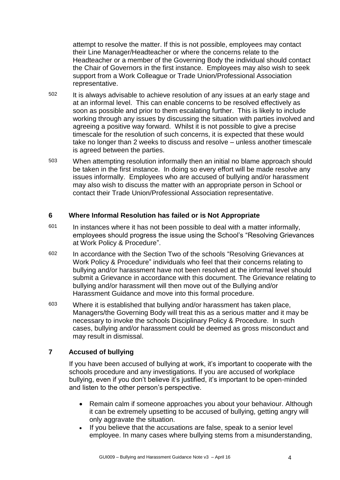attempt to resolve the matter. If this is not possible, employees may contact their Line Manager/Headteacher or where the concerns relate to the Headteacher or a member of the Governing Body the individual should contact the Chair of Governors in the first instance. Employees may also wish to seek support from a Work Colleague or Trade Union/Professional Association representative.

- 502 It is always advisable to achieve resolution of any issues at an early stage and at an informal level. This can enable concerns to be resolved effectively as soon as possible and prior to them escalating further. This is likely to include working through any issues by discussing the situation with parties involved and agreeing a positive way forward. Whilst it is not possible to give a precise timescale for the resolution of such concerns, it is expected that these would take no longer than 2 weeks to discuss and resolve – unless another timescale is agreed between the parties.
- 503 When attempting resolution informally then an initial no blame approach should be taken in the first instance. In doing so every effort will be made resolve any issues informally. Employees who are accused of bullying and/or harassment may also wish to discuss the matter with an appropriate person in School or contact their Trade Union/Professional Association representative.

#### **6 Where Informal Resolution has failed or is Not Appropriate**

- 601 In instances where it has not been possible to deal with a matter informally, employees should progress the issue using the School's "Resolving Grievances at Work Policy & Procedure".
- 602 In accordance with the Section Two of the schools "Resolving Grievances at Work Policy & Procedure" individuals who feel that their concerns relating to bullying and/or harassment have not been resolved at the informal level should submit a Grievance in accordance with this document. The Grievance relating to bullying and/or harassment will then move out of the Bullying and/or Harassment Guidance and move into this formal procedure.
- 603 Where it is established that bullying and/or harassment has taken place, Managers/the Governing Body will treat this as a serious matter and it may be necessary to invoke the schools Disciplinary Policy & Procedure. In such cases, bullying and/or harassment could be deemed as gross misconduct and may result in dismissal.

# **7 Accused of bullying**

If you have been accused of bullying at work, it's important to cooperate with the schools procedure and any investigations. If you are accused of workplace bullying, even if you don't believe it's justified, it's important to be open-minded and listen to the other person's perspective.

- Remain calm if someone approaches you about your behaviour. Although it can be extremely upsetting to be accused of bullying, getting angry will only aggravate the situation.
- If you believe that the accusations are false, speak to a senior level employee. In many cases where bullying stems from a misunderstanding,